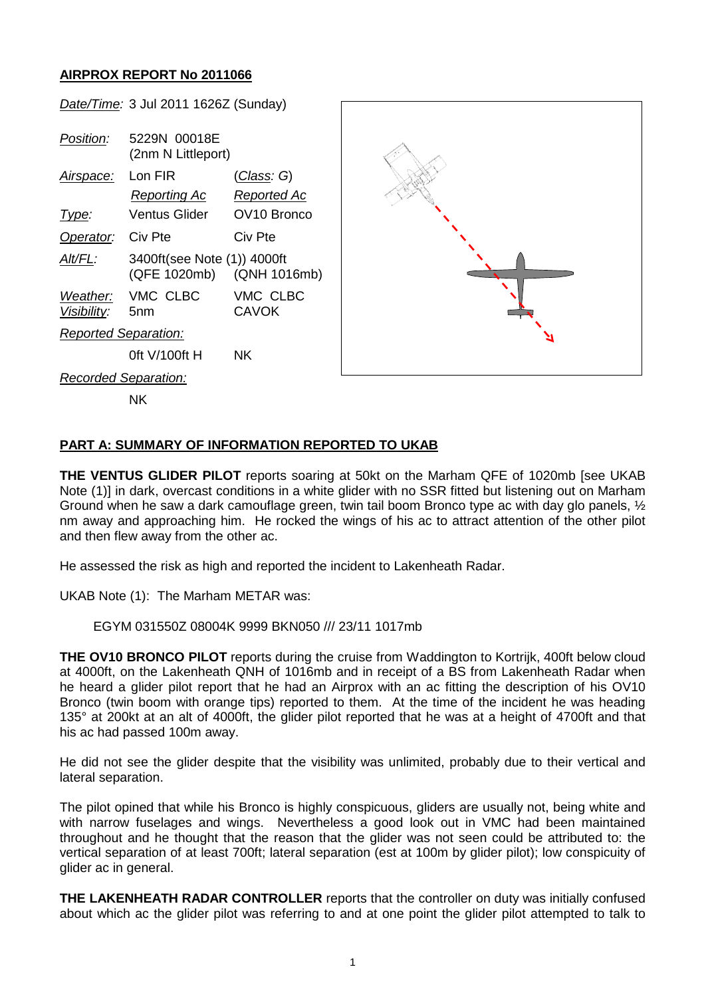## **AIRPROX REPORT No 2011066**

*Date/Time:* 3 Jul 2011 1626Z (Sunday)

*Position:* 5229N 00018E (2nm N Littleport) *Airspace:* Lon FIR (*Class: G*) *Reporting Ac Reported Ac Type:* Ventus Glider OV10 Bronco *Operator:* Civ Pte Civ Pte *Alt/FL:* 3400ft(see Note (1)) 4000ft (QFE 1020mb) (QNH 1016mb) *Weather:* VMC CLBC VMC CLBC *Visibility:* 5nm CAVOK *Reported Separation:* 0ft V/100ft H NK *Recorded Separation:*



NK

## **PART A: SUMMARY OF INFORMATION REPORTED TO UKAB**

**THE VENTUS GLIDER PILOT** reports soaring at 50kt on the Marham QFE of 1020mb [see UKAB Note (1)] in dark, overcast conditions in a white glider with no SSR fitted but listening out on Marham Ground when he saw a dark camouflage green, twin tail boom Bronco type ac with day glo panels, ½ nm away and approaching him. He rocked the wings of his ac to attract attention of the other pilot and then flew away from the other ac.

He assessed the risk as high and reported the incident to Lakenheath Radar.

UKAB Note (1): The Marham METAR was:

EGYM 031550Z 08004K 9999 BKN050 /// 23/11 1017mb

**THE OV10 BRONCO PILOT** reports during the cruise from Waddington to Kortrijk, 400ft below cloud at 4000ft, on the Lakenheath QNH of 1016mb and in receipt of a BS from Lakenheath Radar when he heard a glider pilot report that he had an Airprox with an ac fitting the description of his OV10 Bronco (twin boom with orange tips) reported to them. At the time of the incident he was heading 135° at 200kt at an alt of 4000ft, the glider pilot reported that he was at a height of 4700ft and that his ac had passed 100m away.

He did not see the glider despite that the visibility was unlimited, probably due to their vertical and lateral separation.

The pilot opined that while his Bronco is highly conspicuous, gliders are usually not, being white and with narrow fuselages and wings. Nevertheless a good look out in VMC had been maintained throughout and he thought that the reason that the glider was not seen could be attributed to: the vertical separation of at least 700ft; lateral separation (est at 100m by glider pilot); low conspicuity of glider ac in general.

**THE LAKENHEATH RADAR CONTROLLER** reports that the controller on duty was initially confused about which ac the glider pilot was referring to and at one point the glider pilot attempted to talk to